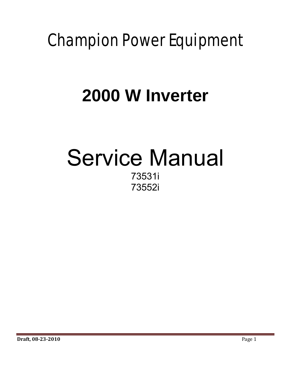# Champion Power Equipment

## **2000 W Inverter**

## Service Manual 73531i 73552i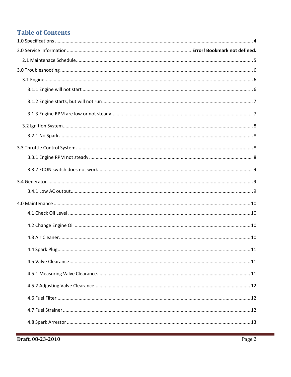## **Table of Contents**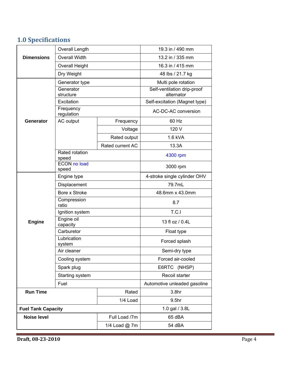## **1.0 Specifications**

|                    | Overall Length                                |                   | 19.3 in / 490 mm                            |  |
|--------------------|-----------------------------------------------|-------------------|---------------------------------------------|--|
| <b>Dimensions</b>  | <b>Overall Width</b><br><b>Overall Height</b> |                   | 13.2 in / 335 mm                            |  |
|                    |                                               |                   | 16.3 in / 415 mm                            |  |
|                    | Dry Weight                                    |                   | 48 lbs / 21.7 kg                            |  |
|                    | Generator type                                |                   | Multi pole rotation                         |  |
|                    | Generator                                     |                   | Self-ventilation drip-proof                 |  |
|                    | structure<br>Excitation<br>Frequency          |                   | alternator<br>Self-excitation (Magnet type) |  |
|                    |                                               |                   |                                             |  |
|                    | regulation                                    |                   | AC-DC-AC conversion                         |  |
| Generator          | AC output                                     | Frequency         | 60 Hz                                       |  |
|                    |                                               | Voltage           | 120 V                                       |  |
|                    |                                               | Rated output      | 1.6 kVA                                     |  |
|                    |                                               | Rated current AC  | 13.3A                                       |  |
|                    | Rated rotation<br>speed                       |                   | 4300 rpm                                    |  |
|                    | <b>ECON no load</b><br>speed                  |                   | 3000 rpm                                    |  |
|                    | Engine type                                   |                   | 4-stroke single cylinder OHV                |  |
|                    | Displacement                                  |                   | 79.7mL                                      |  |
|                    | Bore x Stroke                                 |                   | 48.6mm x 43.0mm                             |  |
|                    | Compression<br>ratio                          |                   | 8.7                                         |  |
|                    | Ignition system                               |                   | T.C.I                                       |  |
| <b>Engine</b>      | Engine oil<br>capacity                        |                   | 13 fl oz / 0.4L                             |  |
|                    | Carburetor                                    |                   | Float type                                  |  |
|                    | Lubrication<br>system                         |                   | Forced splash                               |  |
|                    | Air cleaner                                   |                   | Semi-dry type                               |  |
| Cooling system     |                                               | Forced air-cooled |                                             |  |
|                    | Spark plug                                    |                   | E6RTC (NHSP)                                |  |
|                    | Starting system                               |                   | Recoil starter                              |  |
|                    | Fuel                                          |                   | Automotive unleaded gasoline                |  |
| <b>Run Time</b>    |                                               | Rated             | 3.8 <sub>hr</sub>                           |  |
|                    |                                               | 1/4 Load          | 9.5hr                                       |  |
|                    | <b>Fuel Tank Capacity</b>                     |                   | 1.0 gal / 3.8L                              |  |
| <b>Noise level</b> |                                               | Full Load /7m     | 65 dBA                                      |  |
|                    |                                               | 1/4 Load @ 7m     | 54 dBA                                      |  |
|                    |                                               |                   |                                             |  |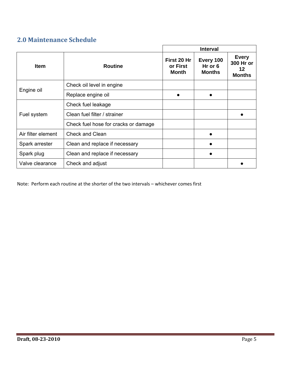### **2.0 Maintenance Schedule**

|                    |                                      |                                         | <b>Interval</b>                         |                                                  |
|--------------------|--------------------------------------|-----------------------------------------|-----------------------------------------|--------------------------------------------------|
| <b>Item</b>        | <b>Routine</b>                       | First 20 Hr<br>or First<br><b>Month</b> | Every 100<br>$Hr$ or 6<br><b>Months</b> | <b>Every</b><br>300 Hr or<br>12<br><b>Months</b> |
|                    | Check oil level in engine            |                                         |                                         |                                                  |
| Engine oil         | Replace engine oil                   |                                         |                                         |                                                  |
| Fuel system        | Check fuel leakage                   |                                         |                                         |                                                  |
|                    | Clean fuel filter / strainer         |                                         |                                         |                                                  |
|                    | Check fuel hose for cracks or damage |                                         |                                         |                                                  |
| Air filter element | Check and Clean                      |                                         | $\bullet$                               |                                                  |
| Spark arrester     | Clean and replace if necessary       |                                         |                                         |                                                  |
| Spark plug         | Clean and replace if necessary       |                                         |                                         |                                                  |
| Valve clearance    | Check and adjust                     |                                         |                                         |                                                  |

Note: Perform each routine at the shorter of the two intervals – whichever comes first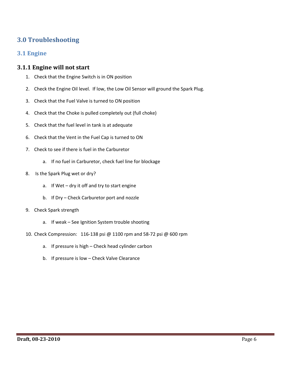### **3.0 Troubleshooting**

#### **3.1 Engine**

#### **3.1.1 Engine will not start**

- 1. Check that the Engine Switch is in ON position
- 2. Check the Engine Oil level. If low, the Low Oil Sensor will ground the Spark Plug.
- 3. Check that the Fuel Valve is turned to ON position
- 4. Check that the Choke is pulled completely out (full choke)
- 5. Check that the fuel level in tank is at adequate
- 6. Check that the Vent in the Fuel Cap is turned to ON
- 7. Check to see if there is fuel in the Carburetor
	- a. If no fuel in Carburetor, check fuel line for blockage
- 8. Is the Spark Plug wet or dry?
	- a. If Wet dry it off and try to start engine
	- b. If Dry Check Carburetor port and nozzle
- 9. Check Spark strength
	- a. If weak See Ignition System trouble shooting
- 10. Check Compression: 116‐138 psi @ 1100 rpm and 58‐72 psi @ 600 rpm
	- a. If pressure is high Check head cylinder carbon
	- b. If pressure is low Check Valve Clearance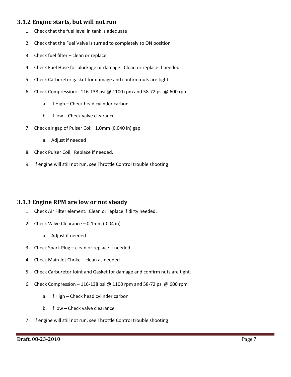#### **3.1.2 Engine starts, but will not run**

- 1. Check that the fuel level in tank is adequate
- 2. Check that the Fuel Valve is turned to completely to ON position
- 3. Check fuel filter clean or replace
- 4. Check Fuel Hose for blockage or damage. Clean or replace if needed.
- 5. Check Carburetor gasket for damage and confirm nuts are tight.
- 6. Check Compression: 116‐138 psi @ 1100 rpm and 58‐72 psi @ 600 rpm
	- a. If High Check head cylinder carbon
	- b. If low Check valve clearance
- 7. Check air gap of Pulser Coi: 1.0mm (0.040 in) gap
	- a. Adjust if needed
- 8. Check Pulser Coil. Replace if needed.
- 9. If engine will still not run, see Throttle Control trouble shooting

#### **3.1.3 Engine RPM are low or not steady**

- 1. Check Air Filter element. Clean or replace if dirty needed.
- 2. Check Valve Clearance 0.1mm (.004 in)
	- a. Adjust if needed
- 3. Check Spark Plug clean or replace if needed
- 4. Check Main Jet Choke clean as needed
- 5. Check Carburetor Joint and Gasket for damage and confirm nuts are tight.
- 6. Check Compression 116‐138 psi @ 1100 rpm and 58‐72 psi @ 600 rpm
	- a. If High Check head cylinder carbon
	- b. If low Check valve clearance
- 7. If engine will still not run, see Throttle Control trouble shooting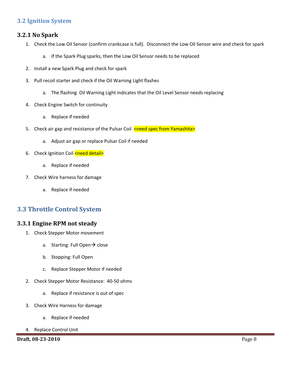#### **3.2 Ignition System**

#### **3.2.1 No Spark**

- 1. Check the Low Oil Sensor (confirm crankcase is full). Disconnect the Low Oil Sensor wire and check for spark
	- a. If the Spark Plug sparks, then the Low Oil Sensor needs to be replaced
- 2. Install a new Spark Plug and check for spark
- 3. Pull recoil starter and check if the Oil Warning Light flashes
	- a. The flashing Oil Warning Light indicates that the Oil Level Sensor needs replacing
- 4. Check Engine Switch for continuity
	- a. Replace if needed
- 5. Check air gap and resistance of the Pulsar Coil <need spec from Yamashita>
	- a. Adjust air gap or replace Pulsar Coil if needed
- 6. Check Ignition Coil <need detail>
	- a. Replace if needed
- 7. Check Wire harness for damage
	- a. Replace if needed

#### **3.3 Throttle Control System**

#### **3.3.1 Engine RPM not steady**

- 1. Check Stepper Motor movement
	- a. Starting: Full Open $\rightarrow$  close
	- b. Stopping: Full Open
	- c. Replace Stepper Motor if needed
- 2. Check Stepper Motor Resistance: 40‐50 ohms
	- a. Replace if resistance is out of spec
- 3. Check Wire Harness for damage
	- a. Replace if needed
- 4. Replace Control Unit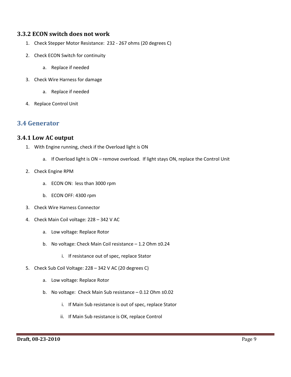#### **3.3.2 ECON switch does not work**

- 1. Check Stepper Motor Resistance: 232 ‐ 267 ohms (20 degrees C)
- 2. Check ECON Switch for continuity
	- a. Replace if needed
- 3. Check Wire Harness for damage
	- a. Replace if needed
- 4. Replace Control Unit

#### **3.4 Generator**

#### **3.4.1 Low AC output**

- 1. With Engine running, check if the Overload light is ON
	- a. If Overload light is ON remove overload. If light stays ON, replace the Control Unit
- 2. Check Engine RPM
	- a. ECON ON: less than 3000 rpm
	- b. ECON OFF: 4300 rpm
- 3. Check Wire Harness Connector
- 4. Check Main Coil voltage: 228 342 V AC
	- a. Low voltage: Replace Rotor
	- b. No voltage: Check Main Coil resistance 1.2 Ohm ±0.24
		- i. If resistance out of spec, replace Stator
- 5. Check Sub Coil Voltage: 228 342 V AC (20 degrees C)
	- a. Low voltage: Replace Rotor
	- b. No voltage: Check Main Sub resistance  $-0.12$  Ohm  $\pm 0.02$ 
		- i. If Main Sub resistance is out of spec, replace Stator
		- ii. If Main Sub resistance is OK, replace Control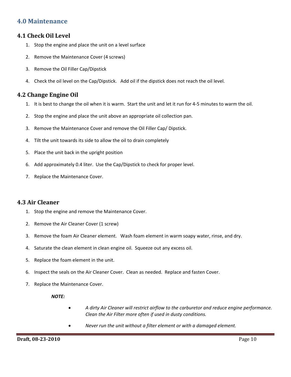#### **4.0 Maintenance**

#### **4.1 Check Oil Level**

- 1. Stop the engine and place the unit on a level surface
- 2. Remove the Maintenance Cover (4 screws)
- 3. Remove the Oil Filler Cap/Dipstick
- 4. Check the oil level on the Cap/Dipstick. Add oil if the dipstick does not reach the oil level.

#### **4.2 Change Engine Oil**

- 1. It is best to change the oil when it is warm. Start the unit and let it run for 4‐5 minutes to warm the oil.
- 2. Stop the engine and place the unit above an appropriate oil collection pan.
- 3. Remove the Maintenance Cover and remove the Oil Filler Cap/ Dipstick.
- 4. Tilt the unit towards its side to allow the oil to drain completely
- 5. Place the unit back in the upright position
- 6. Add approximately 0.4 liter. Use the Cap/Dipstick to check for proper level.
- 7. Replace the Maintenance Cover.

#### **4.3 Air Cleaner**

- 1. Stop the engine and remove the Maintenance Cover.
- 2. Remove the Air Cleaner Cover (1 screw)
- 3. Remove the foam Air Cleaner element. Wash foam element in warm soapy water, rinse, and dry.
- 4. Saturate the clean element in clean engine oil. Squeeze out any excess oil.
- 5. Replace the foam element in the unit.
- 6. Inspect the seals on the Air Cleaner Cover. Clean as needed. Replace and fasten Cover.
- 7. Replace the Maintenance Cover.

#### *NOTE:*

- *A dirty Air Cleaner will restrict airflow to the carburetor and reduce engine performance. Clean the Air Filter more often if used in dusty conditions.*
- *Never run the unit without a filter element or with a damaged element.*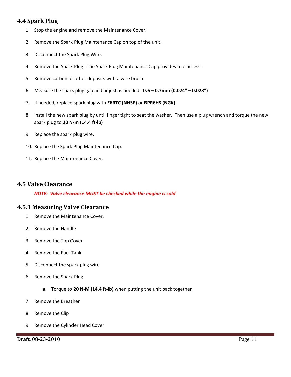#### **4.4 Spark Plug**

- 1. Stop the engine and remove the Maintenance Cover.
- 2. Remove the Spark Plug Maintenance Cap on top of the unit.
- 3. Disconnect the Spark Plug Wire.
- 4. Remove the Spark Plug. The Spark Plug Maintenance Cap provides tool access.
- 5. Remove carbon or other deposits with a wire brush
- 6. Measure the spark plug gap and adjust as needed. **0.6 – 0.7mm (0.024" – 0.028")**
- 7. If needed, replace spark plug with **E6RTC (NHSP)** or **BPR6HS (NGK)**
- 8. Install the new spark plug by until finger tight to seat the washer. Then use a plug wrench and torque the new spark plug to **20 N‐m (14.4 ft‐lb)**
- 9. Replace the spark plug wire.
- 10. Replace the Spark Plug Maintenance Cap.
- 11. Replace the Maintenance Cover.

#### **4.5 Valve Clearance**

*NOTE: Valve clearance MUST be checked while the engine is cold*

#### **4.5.1 Measuring Valve Clearance**

- 1. Remove the Maintenance Cover.
- 2. Remove the Handle
- 3. Remove the Top Cover
- 4. Remove the Fuel Tank
- 5. Disconnect the spark plug wire
- 6. Remove the Spark Plug
	- a. Torque to **20 N‐M (14.4 ft‐lb)** when putting the unit back together
- 7. Remove the Breather
- 8. Remove the Clip
- 9. Remove the Cylinder Head Cover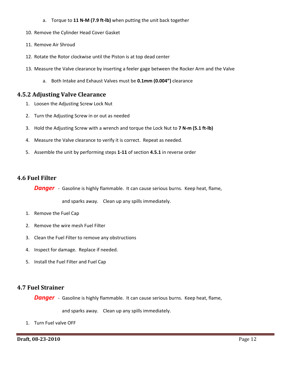- a. Torque to **11 N‐M (7.9 ft‐lb)** when putting the unit back together
- 10. Remove the Cylinder Head Cover Gasket
- 11. Remove Air Shroud
- 12. Rotate the Rotor clockwise until the Piston is at top dead center
- 13. Measure the Valve clearance by inserting a feeler gage between the Rocker Arm and the Valve
	- a. Both Intake and Exhaust Valves must be **0.1mm (0.004")** clearance

#### **4.5.2 Adjusting Valve Clearance**

- 1. Loosen the Adjusting Screw Lock Nut
- 2. Turn the Adjusting Screw in or out as needed
- 3. Hold the Adjusting Screw with a wrench and torque the Lock Nut to **7 N‐m (5.1 ft‐lb)**
- 4. Measure the Valve clearance to verify it is correct. Repeat as needed.
- 5. Assemble the unit by performing steps **1‐11** of section **4.5.1** in reverse order

#### **4.6 Fuel Filter**

**Danger** - Gasoline is highly flammable. It can cause serious burns. Keep heat, flame,

and sparks away. Clean up any spills immediately.

- 1. Remove the Fuel Cap
- 2. Remove the wire mesh Fuel Filter
- 3. Clean the Fuel Filter to remove any obstructions
- 4. Inspect for damage. Replace if needed.
- 5. Install the Fuel Filter and Fuel Cap

#### **4.7 Fuel Strainer**

**Danger** - Gasoline is highly flammable. It can cause serious burns. Keep heat, flame,

and sparks away. Clean up any spills immediately.

1. Turn Fuel valve OFF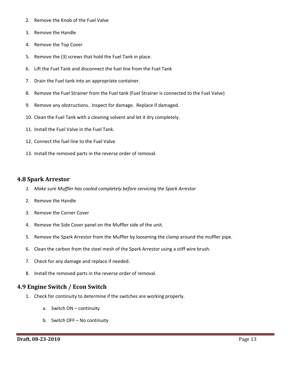- 2. Remove the Knob of the Fuel Valve
- 3. Remove the Handle
- 4. Remove the Top Cover
- 5. Remove the (3) screws that hold the Fuel Tank in place.
- 6. Lift the Fuel Tank and disconnect the fuel line from the Fuel Tank
- 7. Drain the Fuel tank into an appropriate container.
- 8. Remove the Fuel Strainer from the Fuel tank (Fuel Strainer is connected to the Fuel Valve)
- 9. Remove any obstructions. Inspect for damage. Replace if damaged.
- 10. Clean the Fuel Tank with a cleaning solvent and let it dry completely.
- 11. Install the Fuel Valve in the Fuel Tank.
- 12. Connect the fuel line to the Fuel Valve
- 13. Install the removed parts in the reverse order of removal.

#### **4.8 Spark Arrestor**

- *1. Make sure Muffler has cooled completely before servicing the Spark Arrestor*
- 2. Remove the Handle
- 3. Remove the Corner Cover
- 4. Remove the Side Cover panel on the Muffler side of the unit.
- 5. Remove the Spark Arrestor from the Muffler by loosening the clamp around the muffler pipe.
- 6. Clean the carbon from the steel mesh of the Spark Arrestor using a stiff wire brush.
- 7. Check for any damage and replace if needed.
- 8. Install the removed parts in the reverse order of removal.

#### **4.9 Engine Switch / Econ Switch**

- 1. Check for continuity to determine if the switches are working properly.
	- a. Switch ON continuity
	- b. Switch OFF No continuity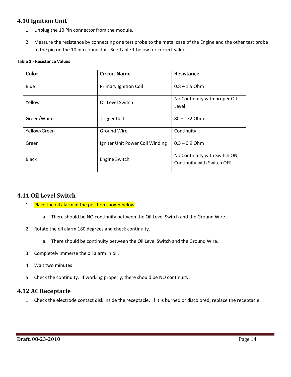#### **4.10 Ignition Unit**

- 1. Unplug the 10 Pin connector from the module.
- 2. Measure the resistance by connecting one test probe to the metal case of the Engine and the other test probe to the pin on the 10 pin connector. See Table 1 below for correct values.

#### **Table 1 ‐ Resistance Values**

| Color        | <b>Circuit Name</b>             | <b>Resistance</b>                                           |
|--------------|---------------------------------|-------------------------------------------------------------|
| Blue         | <b>Primary Ignition Coil</b>    | $0.8 - 1.5$ Ohm                                             |
| Yellow       | Oil Level Switch                | No Continuity with proper Oil<br>Level                      |
| Green/White  | <b>Trigger Coil</b>             | $80 - 132$ Ohm                                              |
| Yellow/Green | <b>Ground Wire</b>              | Continuity                                                  |
| Green        | Igniter Unit Power Coil Winding | $0.5 - 0.9$ Ohm                                             |
| <b>Black</b> | Engine Switch                   | No Continuity with Switch ON,<br>Continuity with Switch OFF |

#### **4.11 Oil Level Switch**

- 1. Place the oil alarm in the position shown below.
	- a. There should be NO continuity between the Oil Level Switch and the Ground Wire.
- 2. Rotate the oil alarm 180 degrees and check continuity.
	- a. There should be continuity between the Oil Level Switch and the Ground Wire.
- 3. Completely immerse the oil alarm in oil.
- 4. Wait two minutes
- 5. Check the continuity. If working properly, there should be NO continuity.

#### **4.12 AC Receptacle**

1. Check the electrode contact disk inside the receptacle. If it is burned or discolored, replace the receptacle.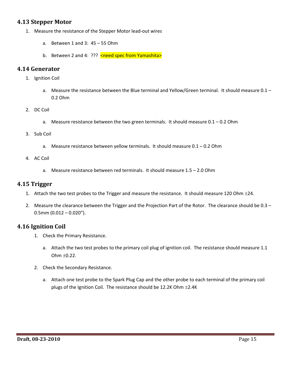#### **4.13 Stepper Motor**

- 1. Measure the resistance of the Stepper Motor lead‐out wires
	- a. Between 1 and 3: 45 55 Ohm
	- b. Between 2 and 4: ??? <need spec from Yamashita>

#### **4.14 Generator**

- 1. Ignition Coil
	- a. Measure the resistance between the Blue terminal and Yellow/Green terminal. It should measure 0.1 0.2 Ohm
- 2. DC Coil
	- a. Measure resistance between the two green terminals. It should measure  $0.1 0.2$  Ohm
- 3. Sub Coil
	- a. Measure resistance between yellow terminals. It should measure 0.1 0.2 Ohm
- 4. AC Coil
	- a. Measure resistance between red terminals. It should measure 1.5 2.0 Ohm

#### **4.15 Trigger**

- 1. Attach the two test probes to the Trigger and measure the resistance. It should measure 120 Ohm  $\pm 24$ .
- 2. Measure the clearance between the Trigger and the Projection Part of the Rotor. The clearance should be 0.3  $0.5$ mm  $(0.012 - 0.020'')$ .

#### **4.16 Ignition Coil**

- 1. Check the Primary Resistance.
	- a. Attach the two test probes to the primary coil plug of ignition coil. The resistance should measure 1.1 Ohm  $\pm 0.22$ .
- 2. Check the Secondary Resistance.
	- a. Attach one test probe to the Spark Plug Cap and the other probe to each terminal of the primary coil plugs of the Ignition Coil. The resistance should be 12.2K Ohm  $\pm$ 2.4K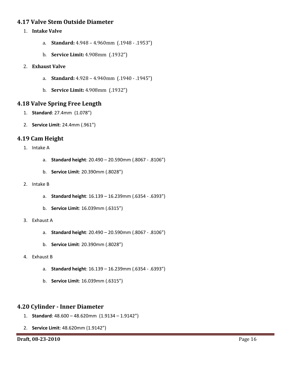#### **4.17 Valve Stem Outside Diameter**

- 1. **Intake Valve**
	- a. **Standard:** 4.948 4.960mm (.1948 .1953")
	- b. **Service Limit:** 4.908mm (.1932")
- 2. **Exhaust Valve**
	- a. **Standard:** 4.928 4.940mm (.1940 .1945")
	- b. **Service Limit:** 4.908mm (.1932")

#### **4.18 Valve Spring Free Length**

- 1. **Standard**: 27.4mm (1.078")
- 2. **Service Limit**: 24.4mm (.961")

#### **4.19 Cam Height**

1. Intake A

- a. **Standard height**: 20.490 20.590mm (.8067 ‐ .8106")
- b. **Service Limit**: 20.390mm (.8028")
- 2. Intake B
	- a. **Standard height**: 16.139 16.239mm (.6354 ‐ .6393")
	- b. **Service Limit**: 16.039mm (.6315")
- 3. Exhaust A
	- a. **Standard height**: 20.490 20.590mm (.8067 ‐ .8106")
	- b. **Service Limit**: 20.390mm (.8028")
- 4. Exhaust B
	- a. **Standard height**: 16.139 16.239mm (.6354 ‐ .6393")
	- b. **Service Limit**: 16.039mm (.6315")

#### **4.20 Cylinder ‐ Inner Diameter**

- 1. **Standard**: 48.600 48.620mm (1.9134 1.9142")
- 2. **Service Limit**: 48.620mm (1.9142")